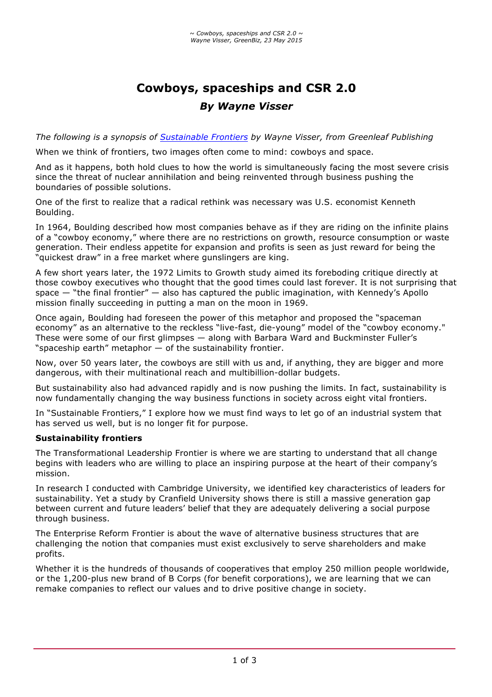# **Cowboys, spaceships and CSR 2.0** *By Wayne Visser*

*The following is a synopsis of Sustainable Frontiers by Wayne Visser, from Greenleaf Publishing*

When we think of frontiers, two images often come to mind: cowboys and space.

And as it happens, both hold clues to how the world is simultaneously facing the most severe crisis since the threat of nuclear annihilation and being reinvented through business pushing the boundaries of possible solutions.

One of the first to realize that a radical rethink was necessary was U.S. economist Kenneth Boulding.

In 1964, Boulding described how most companies behave as if they are riding on the infinite plains of a "cowboy economy," where there are no restrictions on growth, resource consumption or waste generation. Their endless appetite for expansion and profits is seen as just reward for being the "quickest draw" in a free market where gunslingers are king.

A few short years later, the 1972 Limits to Growth study aimed its foreboding critique directly at those cowboy executives who thought that the good times could last forever. It is not surprising that space  $-$  "the final frontier"  $-$  also has captured the public imagination, with Kennedy's Apollo mission finally succeeding in putting a man on the moon in 1969.

Once again, Boulding had foreseen the power of this metaphor and proposed the "spaceman economy" as an alternative to the reckless "live-fast, die-young" model of the "cowboy economy." These were some of our first glimpses — along with Barbara Ward and Buckminster Fuller's "spaceship earth" metaphor  $-$  of the sustainability frontier.

Now, over 50 years later, the cowboys are still with us and, if anything, they are bigger and more dangerous, with their multinational reach and multibillion-dollar budgets.

But sustainability also had advanced rapidly and is now pushing the limits. In fact, sustainability is now fundamentally changing the way business functions in society across eight vital frontiers.

In "Sustainable Frontiers," I explore how we must find ways to let go of an industrial system that has served us well, but is no longer fit for purpose.

## **Sustainability frontiers**

The Transformational Leadership Frontier is where we are starting to understand that all change begins with leaders who are willing to place an inspiring purpose at the heart of their company's mission.

In research I conducted with Cambridge University, we identified key characteristics of leaders for sustainability. Yet a study by Cranfield University shows there is still a massive generation gap between current and future leaders' belief that they are adequately delivering a social purpose through business.

The Enterprise Reform Frontier is about the wave of alternative business structures that are challenging the notion that companies must exist exclusively to serve shareholders and make profits.

Whether it is the hundreds of thousands of cooperatives that employ 250 million people worldwide, or the 1,200-plus new brand of B Corps (for benefit corporations), we are learning that we can remake companies to reflect our values and to drive positive change in society.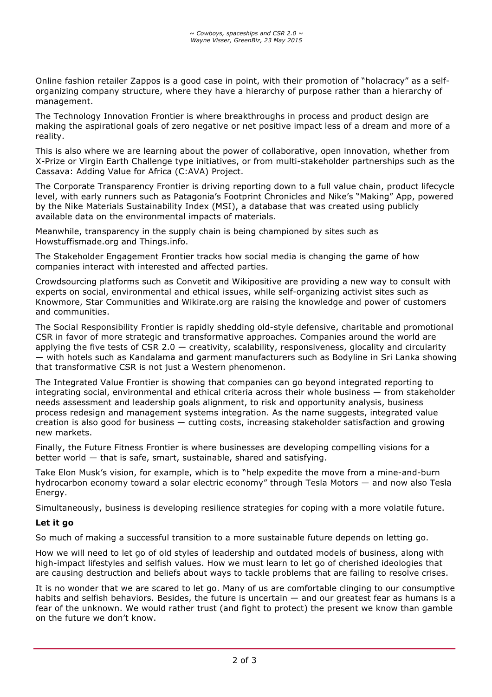Online fashion retailer Zappos is a good case in point, with their promotion of "holacracy" as a selforganizing company structure, where they have a hierarchy of purpose rather than a hierarchy of management.

The Technology Innovation Frontier is where breakthroughs in process and product design are making the aspirational goals of zero negative or net positive impact less of a dream and more of a reality.

This is also where we are learning about the power of collaborative, open innovation, whether from X-Prize or Virgin Earth Challenge type initiatives, or from multi-stakeholder partnerships such as the Cassava: Adding Value for Africa (C:AVA) Project.

The Corporate Transparency Frontier is driving reporting down to a full value chain, product lifecycle level, with early runners such as Patagonia's Footprint Chronicles and Nike's "Making" App, powered by the Nike Materials Sustainability Index (MSI), a database that was created using publicly available data on the environmental impacts of materials.

Meanwhile, transparency in the supply chain is being championed by sites such as Howstuffismade.org and Things.info.

The Stakeholder Engagement Frontier tracks how social media is changing the game of how companies interact with interested and affected parties.

Crowdsourcing platforms such as Convetit and Wikipositive are providing a new way to consult with experts on social, environmental and ethical issues, while self-organizing activist sites such as Knowmore, Star Communities and Wikirate.org are raising the knowledge and power of customers and communities.

The Social Responsibility Frontier is rapidly shedding old-style defensive, charitable and promotional CSR in favor of more strategic and transformative approaches. Companies around the world are applying the five tests of CSR  $2.0 -$  creativity, scalability, responsiveness, glocality and circularity — with hotels such as Kandalama and garment manufacturers such as Bodyline in Sri Lanka showing that transformative CSR is not just a Western phenomenon.

The Integrated Value Frontier is showing that companies can go beyond integrated reporting to integrating social, environmental and ethical criteria across their whole business — from stakeholder needs assessment and leadership goals alignment, to risk and opportunity analysis, business process redesign and management systems integration. As the name suggests, integrated value creation is also good for business — cutting costs, increasing stakeholder satisfaction and growing new markets.

Finally, the Future Fitness Frontier is where businesses are developing compelling visions for a better world — that is safe, smart, sustainable, shared and satisfying.

Take Elon Musk's vision, for example, which is to "help expedite the move from a mine-and-burn hydrocarbon economy toward a solar electric economy" through Tesla Motors — and now also Tesla Energy.

Simultaneously, business is developing resilience strategies for coping with a more volatile future.

## **Let it go**

So much of making a successful transition to a more sustainable future depends on letting go.

How we will need to let go of old styles of leadership and outdated models of business, along with high-impact lifestyles and selfish values. How we must learn to let go of cherished ideologies that are causing destruction and beliefs about ways to tackle problems that are failing to resolve crises.

It is no wonder that we are scared to let go. Many of us are comfortable clinging to our consumptive habits and selfish behaviors. Besides, the future is uncertain — and our greatest fear as humans is a fear of the unknown. We would rather trust (and fight to protect) the present we know than gamble on the future we don't know.